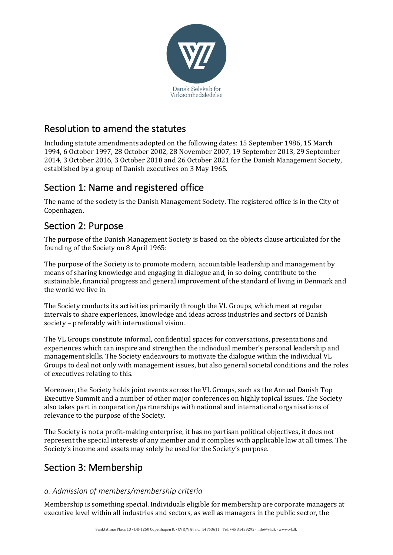

## Resolution to amend the statutes

Including statute amendments adopted on the following dates: 15 September 1986, 15 March 1994, 6 October 1997, 28 October 2002, 28 November 2007, 19 September 2013, 29 September 2014, 3 October 2016, 3 October 2018 and 26 October 2021 for the Danish Management Society, established by a group of Danish executives on 3 May 1965.

# Section 1: Name and registered office

The name of the society is the Danish Management Society. The registered office is in the City of Copenhagen.

## Section 2: Purpose

The purpose of the Danish Management Society is based on the objects clause articulated for the founding of the Society on 8 April 1965:

The purpose of the Society is to promote modern, accountable leadership and management by means of sharing knowledge and engaging in dialogue and, in so doing, contribute to the sustainable, financial progress and general improvement of the standard of living in Denmark and the world we live in.

The Society conducts its activities primarily through the VL Groups, which meet at regular intervals to share experiences, knowledge and ideas across industries and sectors of Danish society – preferably with international vision.

The VL Groups constitute informal, confidential spaces for conversations, presentations and experiences which can inspire and strengthen the individual member's personal leadership and management skills. The Society endeavours to motivate the dialogue within the individual VL Groups to deal not only with management issues, but also general societal conditions and the roles of executives relating to this.

Moreover, the Society holds joint events across the VL Groups, such as the Annual Danish Top Executive Summit and a number of other major conferences on highly topical issues. The Society also takes part in cooperation/partnerships with national and international organisations of relevance to the purpose of the Society.

The Society is not a profit-making enterprise, it has no partisan political objectives, it does not represent the special interests of any member and it complies with applicable law at all times. The Society's income and assets may solely be used for the Society's purpose.

# Section 3: Membership

### *a. Admission of members/membership criteria*

Membership is something special. Individuals eligible for membership are corporate managers at executive level within all industries and sectors, as well as managers in the public sector, the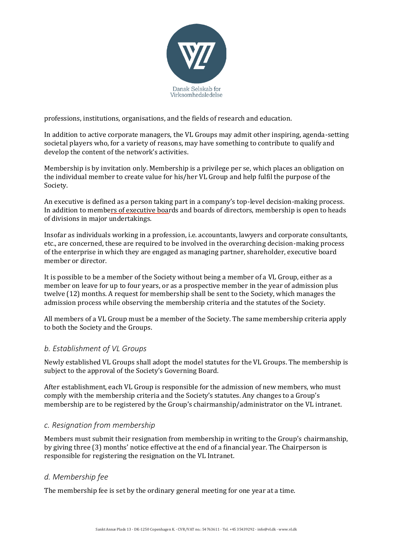

professions, institutions, organisations, and the fields of research and education.

In addition to active corporate managers, the VL Groups may admit other inspiring, agenda-setting societal players who, for a variety of reasons, may have something to contribute to qualify and develop the content of the network's activities.

Membership is by invitation only. Membership is a privilege per se, which places an obligation on the individual member to create value for his/her VL Group and help fulfil the purpose of the Society.

An executive is defined as a person taking part in a company's top-level decision-making process. In addition to members of executive boards and boards of directors, membership is open to heads of divisions in major undertakings.

Insofar as individuals working in a profession, i.e. accountants, lawyers and corporate consultants, etc., are concerned, these are required to be involved in the overarching decision-making process of the enterprise in which they are engaged as managing partner, shareholder, executive board member or director.

It is possible to be a member of the Society without being a member of a VL Group, either as a member on leave for up to four years, or as a prospective member in the year of admission plus twelve (12) months. A request for membership shall be sent to the Society, which manages the admission process while observing the membership criteria and the statutes of the Society.

All members of a VL Group must be a member of the Society. The same membership criteria apply to both the Society and the Groups.

### *b. Establishment of VL Groups*

Newly established VL Groups shall adopt the model statutes for the VL Groups. The membership is subject to the approval of the Society's Governing Board.

After establishment, each VL Group is responsible for the admission of new members, who must comply with the membership criteria and the Society's statutes. Any changes to a Group's membership are to be registered by the Group's chairmanship/administrator on the VL intranet.

#### *c. Resignation from membership*

Members must submit their resignation from membership in writing to the Group's chairmanship, by giving three (3) months' notice effective at the end of a financial year. The Chairperson is responsible for registering the resignation on the VL Intranet.

#### *d. Membership fee*

The membership fee is set by the ordinary general meeting for one year at a time.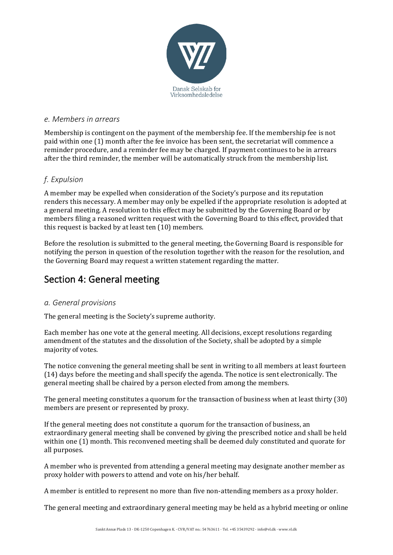

#### *e. Members in arrears*

Membership is contingent on the payment of the membership fee. If the membership fee is not paid within one (1) month after the fee invoice has been sent, the secretariat will commence a reminder procedure, and a reminder fee may be charged. If payment continues to be in arrears after the third reminder, the member will be automatically struck from the membership list.

### *f. Expulsion*

A member may be expelled when consideration of the Society's purpose and its reputation renders this necessary. A member may only be expelled if the appropriate resolution is adopted at a general meeting. A resolution to this effect may be submitted by the Governing Board or by members filing a reasoned written request with the Governing Board to this effect, provided that this request is backed by at least ten (10) members.

Before the resolution is submitted to the general meeting, the Governing Board is responsible for notifying the person in question of the resolution together with the reason for the resolution, and the Governing Board may request a written statement regarding the matter.

## Section 4: General meeting

### *a. General provisions*

The general meeting is the Society's supreme authority.

Each member has one vote at the general meeting. All decisions, except resolutions regarding amendment of the statutes and the dissolution of the Society, shall be adopted by a simple majority of votes.

The notice convening the general meeting shall be sent in writing to all members at least fourteen (14) days before the meeting and shall specify the agenda. The notice is sent electronically. The general meeting shall be chaired by a person elected from among the members.

The general meeting constitutes a quorum for the transaction of business when at least thirty (30) members are present or represented by proxy.

If the general meeting does not constitute a quorum for the transaction of business, an extraordinary general meeting shall be convened by giving the prescribed notice and shall be held within one (1) month. This reconvened meeting shall be deemed duly constituted and quorate for all purposes.

A member who is prevented from attending a general meeting may designate another member as proxy holder with powers to attend and vote on his/her behalf.

A member is entitled to represent no more than five non-attending members as a proxy holder.

The general meeting and extraordinary general meeting may be held as a hybrid meeting or online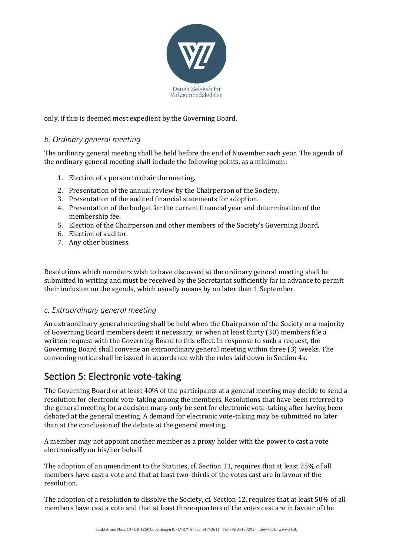

only, if this is deemed most expedient by the Governing Board.

### *b. Ordinary general meeting*

The ordinary general meeting shall be held before the end of November each year. The agenda of the ordinary general meeting shall include the following points, as a minimum:

- 1. Election of a person to chair the meeting.
- 2. Presentation of the annual review by the Chairperson of the Society.
- 3. Presentation of the audited financial statements for adoption.
- 4. Presentation of the budget for the current financial year and determination of the membership fee.
- 5. Election of the Chairperson and other members of the Society's Governing Board.
- 6. Election of auditor.
- 7. Any other business.

Resolutions which members wish to have discussed at the ordinary general meeting shall be submitted in writing and must be received by the Secretariat sufficiently far in advance to permit their inclusion on the agenda, which usually means by no later than 1 September.

### *c. Extraordinary general meeting*

An extraordinary general meeting shall be held when the Chairperson of the Society or a majority of Governing Board members deem it necessary, or when at least thirty (30) members file a written request with the Governing Board to this effect. In response to such a request, the Governing Board shall convene an extraordinary general meeting within three (3) weeks. The convening notice shall be issued in accordance with the rules laid down in Section 4a.

# Section 5: Electronic vote-taking

The Governing Board or at least 40% of the participants at a general meeting may decide to send a resolution for electronic vote-taking among the members. Resolutions that have been referred to the general meeting for a decision many only be sent for electronic vote-taking after having been debated at the general meeting. A demand for electronic vote-taking may be submitted no later than at the conclusion of the debate at the general meeting.

A member may not appoint another member as a proxy holder with the power to cast a vote electronically on his/her behalf.

The adoption of an amendment to the Statutes, cf. Section 11, requires that at least 25% of all members have cast a vote and that at least two-thirds of the votes cast are in favour of the resolution.

The adoption of a resolution to dissolve the Society, cf. Section 12, requires that at least 50% of all members have cast a vote and that at least three-quarters of the votes cast are in favour of the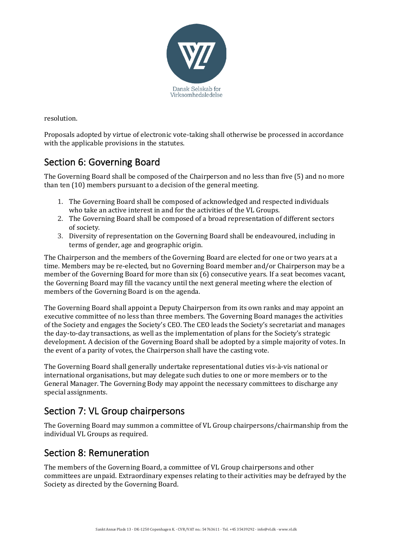

resolution.

Proposals adopted by virtue of electronic vote-taking shall otherwise be processed in accordance with the applicable provisions in the statutes.

## Section 6: Governing Board

The Governing Board shall be composed of the Chairperson and no less than five (5) and no more than ten (10) members pursuant to a decision of the general meeting.

- 1. The Governing Board shall be composed of acknowledged and respected individuals who take an active interest in and for the activities of the VL Groups.
- 2. The Governing Board shall be composed of a broad representation of different sectors of society.
- 3. Diversity of representation on the Governing Board shall be endeavoured, including in terms of gender, age and geographic origin.

The Chairperson and the members of the Governing Board are elected for one or two years at a time. Members may be re-elected, but no Governing Board member and/or Chairperson may be a member of the Governing Board for more than six (6) consecutive years. If a seat becomes vacant, the Governing Board may fill the vacancy until the next general meeting where the election of members of the Governing Board is on the agenda.

The Governing Board shall appoint a Deputy Chairperson from its own ranks and may appoint an executive committee of no less than three members. The Governing Board manages the activities of the Society and engages the Society's CEO. The CEO leads the Society's secretariat and manages the day-to-day transactions, as well as the implementation of plans for the Society's strategic development. A decision of the Governing Board shall be adopted by a simple majority of votes. In the event of a parity of votes, the Chairperson shall have the casting vote.

The Governing Board shall generally undertake representational duties vis-à-vis national or international organisations, but may delegate such duties to one or more members or to the General Manager. The Governing Body may appoint the necessary committees to discharge any special assignments.

# Section 7: VL Group chairpersons

The Governing Board may summon a committee of VL Group chairpersons/chairmanship from the individual VL Groups as required.

## Section 8: Remuneration

The members of the Governing Board, a committee of VL Group chairpersons and other committees are unpaid. Extraordinary expenses relating to their activities may be defrayed by the Society as directed by the Governing Board.